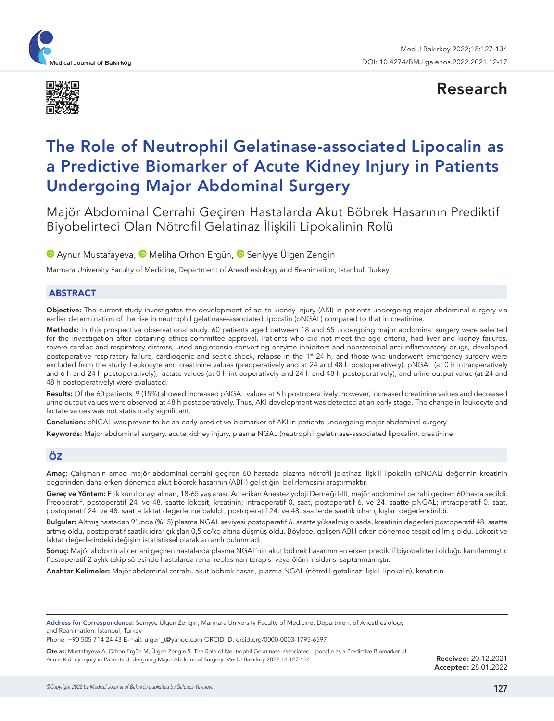



Research

# The Role of Neutrophil Gelatinase-associated Lipocalin as a Predictive Biomarker of Acute Kidney Injury in Patients Undergoing Major Abdominal Surgery

Majör Abdominal Cerrahi Geçiren Hastalarda Akut Böbrek Hasarının Prediktif Biyobelirteci Olan Nötrofil Gelatinaz İlişkili Lipokalinin Rolü

**D**Aynur Mustafayeva, **D** Meliha Orhon Ergün, **D** Seniyye Ülgen Zengin

Marmara University Faculty of Medicine, Department of Anesthesiology and Reanimation, Istanbul, Turkey

### ABSTRACT

Objective: The current study investigates the development of acute kidney injury (AKI) in patients undergoing major abdominal surgery via earlier determination of the rise in neutrophil gelatinase-associated lipocalin (pNGAL) compared to that in creatinine.

Methods: In this prospective observational study, 60 patients aged between 18 and 65 undergoing major abdominal surgery were selected for the investigation after obtaining ethics committee approval. Patients who did not meet the age criteria, had liver and kidney failures, severe cardiac and respiratory distress, used angiotensin-converting enzyme inhibitors and nonsteroidal anti-inflammatory drugs, developed postoperative respiratory failure, cardiogenic and septic shock, relapse in the 1<sup>st</sup> 24 h, and those who underwent emergency surgery were excluded from the study. Leukocyte and creatinine values (preoperatively and at 24 and 48 h postoperatively), pNGAL (at 0 h intraoperatively and 6 h and 24 h postoperatively), lactate values (at 0 h intraoperatively and 24 h and 48 h postoperatively), and urine output value (at 24 and 48 h postoperatively) were evaluated.

Results: Of the 60 patients, 9 (15%) showed increased pNGAL values at 6 h postoperatively; however, increased creatinine values and decreased urine output values were observed at 48 h postoperatively. Thus, AKI development was detected at an early stage. The change in leukocyte and lactate values was not statistically significant.

Conclusion: pNGAL was proven to be an early predictive biomarker of AKI in patients undergoing major abdominal surgery.

Keywords: Major abdominal surgery, acute kidney injury, plasma NGAL (neutrophil gelatinase-associated lipocalin), creatinine

## ÖZ

Amaç: Çalışmanın amacı majör abdominal cerrahi geçiren 60 hastada plazma nötrofil jelatinaz ilişkili lipokalin (pNGAL) değerinin kreatinin değerinden daha erken dönemde akut böbrek hasarının (ABH) geliştiğini belirlemesini araştırmaktır.

Gereç ve Yöntem: Etik kurul onayı alınan, 18-65 yaş arası, Amerikan Anesteziyoloji Derneği I-III, majör abdominal cerrahi geçiren 60 hasta seçildi. Preoperatif, postoperatif 24. ve 48. saatte lökosit, kreatinin; intraoperatif 0. saat, postoperatif 6. ve 24. saatte pNGAL; intraoperatif 0. saat, postoperatif 24. ve 48. saatte laktat değerlerine bakıldı, postoperatif 24. ve 48. saatlerde saatlik idrar çıkışları değerlendirildi.

Bulgular: Altmış hastadan 9'unda (%15) plasma NGAL seviyesi postoperatif 6. saatte yükselmiş olsada, kreatinin değerleri postoperatif 48. saatte artmış oldu, postoperatif saatlik idrar çıkışları 0,5 cc/kg altına düşmüş oldu. Böylece, gelişen ABH erken dönemde tespit edilmiş oldu. Lökosit ve laktat değerlerindeki değişim istatistiksel olarak anlamlı bulunmadı.

Sonuç: Majör abdominal cerrahi geçiren hastalarda plasma NGAL'nin akut böbrek hasarının en erken prediktif biyobelirteci olduğu kanıtlanmıştır. Postoperatif 2 aylık takip süresinde hastalarda renal replasman terapisi veya ölüm insidansı saptanmamıştır.

Anahtar Kelimeler: Majör abdominal cerrahi, akut böbrek hasarı, plazma NGAL (nötrofil getalinaz ilişkili lipokalin), kreatinin

Address for Correspondence: Seniyye Ülgen Zengin, Marmara University Faculty of Medicine, Department of Anesthesiology and Reanimation, Istanbul, Turkey

Phone: +90 505 714 24 43 E-mail: ulgen\_t@yahoo.com ORCID ID: orcid.org/0000-0003-1795-6597

Cite as: Mustafayeva A, Orhon Ergün M, Ülgen Zengin S. The Role of Neutrophil Gelatinase-associated Lipocalin as a Predictive Biomarker of Acute Kidney Injury in Patients Undergoing Major Abdominal Surgery. Med J Bakirkoy 2022;18:127-134

Received: 20.12.2021 Accepted: 28.01.2022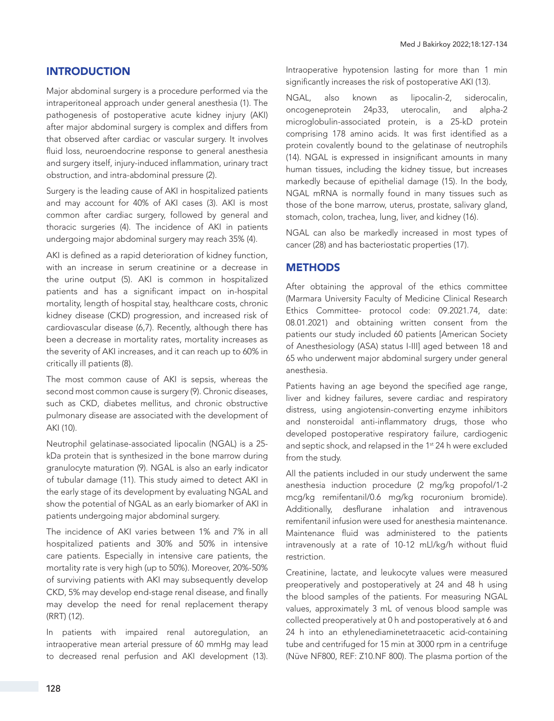# INTRODUCTION

Major abdominal surgery is a procedure performed via the intraperitoneal approach under general anesthesia (1). The pathogenesis of postoperative acute kidney injury (AKI) after major abdominal surgery is complex and differs from that observed after cardiac or vascular surgery. It involves fluid loss, neuroendocrine response to general anesthesia and surgery itself, injury-induced inflammation, urinary tract obstruction, and intra-abdominal pressure (2).

Surgery is the leading cause of AKI in hospitalized patients and may account for 40% of AKI cases (3). AKI is most common after cardiac surgery, followed by general and thoracic surgeries (4). The incidence of AKI in patients undergoing major abdominal surgery may reach 35% (4).

AKI is defined as a rapid deterioration of kidney function, with an increase in serum creatinine or a decrease in the urine output (5). AKI is common in hospitalized patients and has a significant impact on in-hospital mortality, length of hospital stay, healthcare costs, chronic kidney disease (CKD) progression, and increased risk of cardiovascular disease (6,7). Recently, although there has been a decrease in mortality rates, mortality increases as the severity of AKI increases, and it can reach up to 60% in critically ill patients (8).

The most common cause of AKI is sepsis, whereas the second most common cause is surgery (9). Chronic diseases, such as CKD, diabetes mellitus, and chronic obstructive pulmonary disease are associated with the development of AKI (10).

Neutrophil gelatinase-associated lipocalin (NGAL) is a 25 kDa protein that is synthesized in the bone marrow during granulocyte maturation (9). NGAL is also an early indicator of tubular damage (11). This study aimed to detect AKI in the early stage of its development by evaluating NGAL and show the potential of NGAL as an early biomarker of AKI in patients undergoing major abdominal surgery.

The incidence of AKI varies between 1% and 7% in all hospitalized patients and 30% and 50% in intensive care patients. Especially in intensive care patients, the mortality rate is very high (up to 50%). Moreover, 20%-50% of surviving patients with AKI may subsequently develop CKD, 5% may develop end-stage renal disease, and finally may develop the need for renal replacement therapy (RRT) (12).

In patients with impaired renal autoregulation, an intraoperative mean arterial pressure of 60 mmHg may lead to decreased renal perfusion and AKI development (13).

Intraoperative hypotension lasting for more than 1 min significantly increases the risk of postoperative AKI (13).

NGAL, also known as lipocalin-2, siderocalin, oncogeneprotein 24p33, uterocalin, and alpha-2 microglobulin-associated protein, is a 25-kD protein comprising 178 amino acids. It was first identified as a protein covalently bound to the gelatinase of neutrophils (14). NGAL is expressed in insignificant amounts in many human tissues, including the kidney tissue, but increases markedly because of epithelial damage (15). In the body, NGAL mRNA is normally found in many tissues such as those of the bone marrow, uterus, prostate, salivary gland, stomach, colon, trachea, lung, liver, and kidney (16).

NGAL can also be markedly increased in most types of cancer (28) and has bacteriostatic properties (17).

# **METHODS**

After obtaining the approval of the ethics committee (Marmara University Faculty of Medicine Clinical Research Ethics Committee- protocol code: 09.2021.74, date: 08.01.2021) and obtaining written consent from the patients our study included 60 patients [American Society of Anesthesiology (ASA) status I-III] aged between 18 and 65 who underwent major abdominal surgery under general anesthesia.

Patients having an age beyond the specified age range, liver and kidney failures, severe cardiac and respiratory distress, using angiotensin-converting enzyme inhibitors and nonsteroidal anti-inflammatory drugs, those who developed postoperative respiratory failure, cardiogenic and septic shock, and relapsed in the 1<sup>st</sup> 24 h were excluded from the study.

All the patients included in our study underwent the same anesthesia induction procedure (2 mg/kg propofol/1-2 mcg/kg remifentanil/0.6 mg/kg rocuronium bromide). Additionally, desflurane inhalation and intravenous remifentanil infusion were used for anesthesia maintenance. Maintenance fluid was administered to the patients intravenously at a rate of 10-12 mLl/kg/h without fluid restriction.

Creatinine, lactate, and leukocyte values were measured preoperatively and postoperatively at 24 and 48 h using the blood samples of the patients. For measuring NGAL values, approximately 3 mL of venous blood sample was collected preoperatively at 0 h and postoperatively at 6 and 24 h into an ethylenediaminetetraacetic acid-containing tube and centrifuged for 15 min at 3000 rpm in a centrifuge (Nüve NF800, REF: Z10.NF 800). The plasma portion of the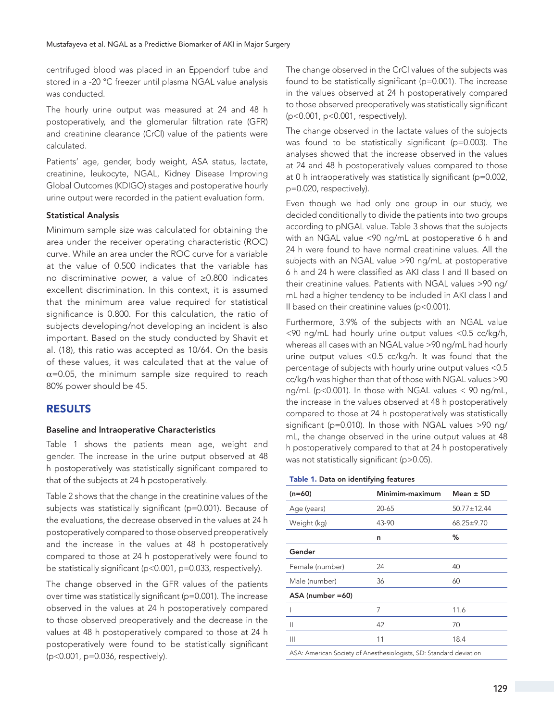centrifuged blood was placed in an Eppendorf tube and stored in a -20 °C freezer until plasma NGAL value analysis was conducted.

The hourly urine output was measured at 24 and 48 h postoperatively, and the glomerular filtration rate (GFR) and creatinine clearance (CrCl) value of the patients were calculated.

Patients' age, gender, body weight, ASA status, lactate, creatinine, leukocyte, NGAL, Kidney Disease Improving Global Outcomes (KDIGO) stages and postoperative hourly urine output were recorded in the patient evaluation form.

## Statistical Analysis

Minimum sample size was calculated for obtaining the area under the receiver operating characteristic (ROC) curve. While an area under the ROC curve for a variable at the value of 0.500 indicates that the variable has no discriminative power, a value of ≥0.800 indicates excellent discrimination. In this context, it is assumed that the minimum area value required for statistical significance is 0.800. For this calculation, the ratio of subjects developing/not developing an incident is also important. Based on the study conducted by Shavit et al. (18), this ratio was accepted as 10/64. On the basis of these values, it was calculated that at the value of  $\alpha$ =0.05, the minimum sample size required to reach 80% power should be 45.

# RESULTS

## Baseline and Intraoperative Characteristics

Table 1 shows the patients mean age, weight and gender. The increase in the urine output observed at 48 h postoperatively was statistically significant compared to that of the subjects at 24 h postoperatively.

Table 2 shows that the change in the creatinine values of the subjects was statistically significant (p=0.001). Because of the evaluations, the decrease observed in the values at 24 h postoperatively compared to those observed preoperatively and the increase in the values at 48 h postoperatively compared to those at 24 h postoperatively were found to be statistically significant (p<0.001, p=0.033, respectively).

The change observed in the GFR values of the patients over time was statistically significant (p=0.001). The increase observed in the values at 24 h postoperatively compared to those observed preoperatively and the decrease in the values at 48 h postoperatively compared to those at 24 h postoperatively were found to be statistically significant (p<0.001, p=0.036, respectively).

The change observed in the CrCl values of the subjects was found to be statistically significant (p=0.001). The increase in the values observed at 24 h postoperatively compared to those observed preoperatively was statistically significant (p<0.001, p<0.001, respectively).

The change observed in the lactate values of the subjects was found to be statistically significant (p=0.003). The analyses showed that the increase observed in the values at 24 and 48 h postoperatively values compared to those at 0 h intraoperatively was statistically significant (p=0.002, p=0.020, respectively).

Even though we had only one group in our study, we decided conditionally to divide the patients into two groups according to pNGAL value. Table 3 shows that the subjects with an NGAL value <90 ng/mL at postoperative 6 h and 24 h were found to have normal creatinine values. All the subjects with an NGAL value >90 ng/mL at postoperative 6 h and 24 h were classified as AKI class I and II based on their creatinine values. Patients with NGAL values >90 ng/ mL had a higher tendency to be included in AKI class I and II based on their creatinine values (p<0.001).

Furthermore, 3.9% of the subjects with an NGAL value  $\leq$ 90 ng/mL had hourly urine output values  $\leq$ 0.5 cc/kg/h, whereas all cases with an NGAL value >90 ng/mL had hourly urine output values <0.5 cc/kg/h. It was found that the percentage of subjects with hourly urine output values <0.5 cc/kg/h was higher than that of those with NGAL values >90 ng/mL (p<0.001). In those with NGAL values < 90 ng/mL, the increase in the values observed at 48 h postoperatively compared to those at 24 h postoperatively was statistically significant (p=0.010). In those with NGAL values >90 ng/ mL, the change observed in the urine output values at 48 h postoperatively compared to that at 24 h postoperatively was not statistically significant (p>0.05).

#### Table 1. Data on identifying features

| $(n=60)$                                                           | Minimim-maximum | Mean $\pm$ SD |
|--------------------------------------------------------------------|-----------------|---------------|
| Age (years)                                                        | 20-65           | 50.77±12.44   |
| Weight (kg)                                                        | 43-90           | 68.25±9.70    |
|                                                                    | n               | %             |
| Gender                                                             |                 |               |
| Female (number)                                                    | 24              | 40            |
| Male (number)                                                      | 36              | 60            |
| ASA (number =60)                                                   |                 |               |
|                                                                    | 7               | 11.6          |
| Ш                                                                  | 42              | 70            |
| Ш                                                                  | 11              | 18.4          |
| ASA: American Society of Anesthesiologists, SD: Standard deviation |                 |               |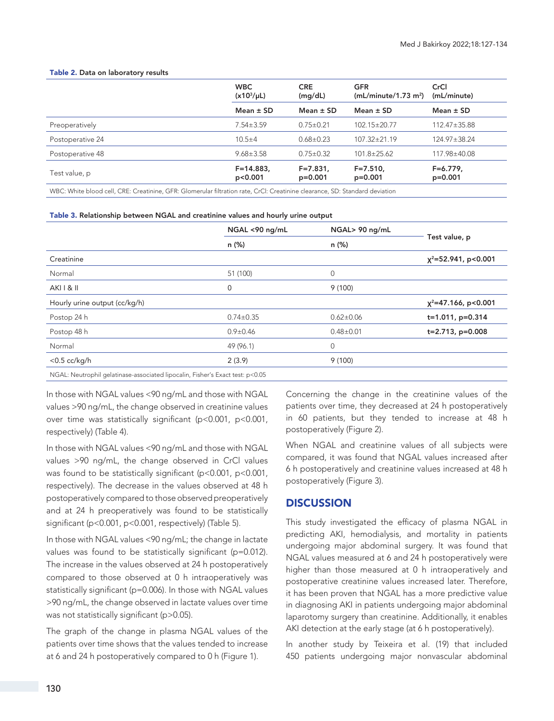#### Table 2. Data on laboratory results

|                                                                                                                                                                                                                                                                                                                                                                                                                                                                                                                             | <b>WBC</b><br>$(x10^3/\mu L)$                                                                                                       | <b>CRE</b><br>(mg/dL)     | <b>GFR</b><br>(mL/minute/1.73 m <sup>2</sup> )   | CrCl<br>(mL/minute)     |
|-----------------------------------------------------------------------------------------------------------------------------------------------------------------------------------------------------------------------------------------------------------------------------------------------------------------------------------------------------------------------------------------------------------------------------------------------------------------------------------------------------------------------------|-------------------------------------------------------------------------------------------------------------------------------------|---------------------------|--------------------------------------------------|-------------------------|
|                                                                                                                                                                                                                                                                                                                                                                                                                                                                                                                             | Mean $\pm$ SD                                                                                                                       | Mean $\pm$ SD             | Mean $\pm$ SD                                    | Mean $\pm$ SD           |
| Preoperatively                                                                                                                                                                                                                                                                                                                                                                                                                                                                                                              | $7.54 \pm 3.59$                                                                                                                     | $0.75 \pm 0.21$           | 102.15±20.77                                     | $112.47 \pm 35.88$      |
| Postoperative 24                                                                                                                                                                                                                                                                                                                                                                                                                                                                                                            | $10.5 + 4$                                                                                                                          | $0.68 \pm 0.23$           | $107.32 \pm 21.19$                               | $124.97 \pm 38.24$      |
| Postoperative 48                                                                                                                                                                                                                                                                                                                                                                                                                                                                                                            | $9.68 \pm 3.58$                                                                                                                     | $0.75 \pm 0.32$           | $101.8 \pm 25.62$                                | 117.98±40.08            |
| Test value, p                                                                                                                                                                                                                                                                                                                                                                                                                                                                                                               | $F = 14.883$<br>p<0.001                                                                                                             | $F = 7.831,$<br>$p=0.001$ | $F = 7.510.$<br>$p=0.001$                        | $F=6.779.$<br>$p=0.001$ |
| $\mathbf{1} \cdot \mathbf{1} \cdot \mathbf{1} \cdot \mathbf{1} \cdot \mathbf{1} \cdot \mathbf{1} \cdot \mathbf{1} \cdot \mathbf{1} \cdot \mathbf{1} \cdot \mathbf{1} \cdot \mathbf{1} \cdot \mathbf{1} \cdot \mathbf{1} \cdot \mathbf{1} \cdot \mathbf{1} \cdot \mathbf{1} \cdot \mathbf{1} \cdot \mathbf{1} \cdot \mathbf{1} \cdot \mathbf{1} \cdot \mathbf{1} \cdot \mathbf{1} \cdot \mathbf{1} \cdot \mathbf{1} \cdot \mathbf{1} \cdot \mathbf{1} \cdot \mathbf{1} \cdot \mathbf{$<br>$\sim$ $\sim$ $\sim$ $\sim$ $\sim$ | $\mathbf{r}$ and $\mathbf{r}$ and $\mathbf{r}$ and $\mathbf{r}$ and $\mathbf{r}$ and $\mathbf{r}$ and $\mathbf{r}$ and $\mathbf{r}$ |                           | $\sim$ $\sim$ $\sim$ $\sim$ $\sim$ $\sim$ $\sim$ |                         |

WBC: White blood cell, CRE: Creatinine, GFR: Glomerular filtration rate, CrCl: Creatinine clearance, SD: Standard deviation

| Table 3. Relationship between NGAL and creatinine values and hourly urine output |  |  |
|----------------------------------------------------------------------------------|--|--|
|----------------------------------------------------------------------------------|--|--|

|                                                                               | NGAL <90 ng/mL  | NGAL> 90 ng/mL  | Test value, p          |
|-------------------------------------------------------------------------------|-----------------|-----------------|------------------------|
|                                                                               | n (%)           | n (%)           |                        |
| Creatinine                                                                    |                 |                 | $x^2$ =52.941, p<0.001 |
| Normal                                                                        | 51 (100)        | 0               |                        |
| AKI 1 & II                                                                    | 0               | 9(100)          |                        |
| Hourly urine output (cc/kg/h)                                                 |                 |                 | $x^2$ =47.166, p<0.001 |
| Postop 24 h                                                                   | $0.74 \pm 0.35$ | $0.62 \pm 0.06$ | $t=1.011$ , p=0.314    |
| Postop 48 h                                                                   | $0.9 \pm 0.46$  | $0.48 + 0.01$   | $t=2.713$ , $p=0.008$  |
| Normal                                                                        | 49 (96.1)       | 0               |                        |
| $<$ 0.5 cc/kg/h                                                               | 2(3.9)          | 9(100)          |                        |
| NGAL: Neutrophil gelatinase-associated lipocalin, Fisher's Exact test: p<0.05 |                 |                 |                        |

In those with NGAL values <90 ng/mL and those with NGAL values >90 ng/mL, the change observed in creatinine values over time was statistically significant (p<0.001, p<0.001, respectively) (Table 4).

In those with NGAL values <90 ng/mL and those with NGAL values >90 ng/mL, the change observed in CrCl values was found to be statistically significant (p<0.001, p<0.001, respectively). The decrease in the values observed at 48 h postoperatively compared to those observed preoperatively and at 24 h preoperatively was found to be statistically significant (p<0.001, p<0.001, respectively) (Table 5).

In those with NGAL values <90 ng/mL; the change in lactate values was found to be statistically significant (p=0.012). The increase in the values observed at 24 h postoperatively compared to those observed at 0 h intraoperatively was statistically significant (p=0.006). In those with NGAL values >90 ng/mL, the change observed in lactate values over time was not statistically significant (p>0.05).

The graph of the change in plasma NGAL values of the patients over time shows that the values tended to increase at 6 and 24 h postoperatively compared to 0 h (Figure 1).

Concerning the change in the creatinine values of the patients over time, they decreased at 24 h postoperatively in 60 patients, but they tended to increase at 48 h postoperatively (Figure 2).

When NGAL and creatinine values of all subjects were compared, it was found that NGAL values increased after 6 h postoperatively and creatinine values increased at 48 h postoperatively (Figure 3).

## **DISCUSSION**

This study investigated the efficacy of plasma NGAL in predicting AKI, hemodialysis, and mortality in patients undergoing major abdominal surgery. It was found that NGAL values measured at 6 and 24 h postoperatively were higher than those measured at 0 h intraoperatively and postoperative creatinine values increased later. Therefore, it has been proven that NGAL has a more predictive value in diagnosing AKI in patients undergoing major abdominal laparotomy surgery than creatinine. Additionally, it enables AKI detection at the early stage (at 6 h postoperatively).

In another study by Teixeira et al. (19) that included 450 patients undergoing major nonvascular abdominal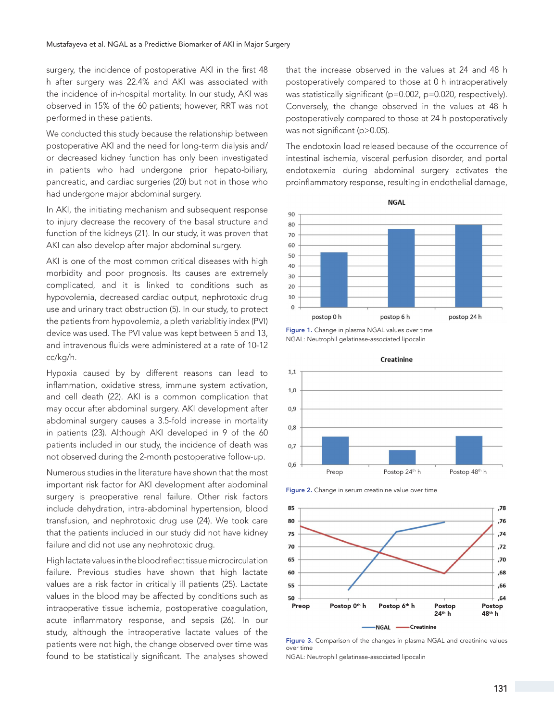surgery, the incidence of postoperative AKI in the first 48 h after surgery was 22.4% and AKI was associated with the incidence of in-hospital mortality. In our study, AKI was observed in 15% of the 60 patients; however, RRT was not performed in these patients.

We conducted this study because the relationship between postoperative AKI and the need for long-term dialysis and/ or decreased kidney function has only been investigated in patients who had undergone prior hepato-biliary, pancreatic, and cardiac surgeries (20) but not in those who had undergone major abdominal surgery.

In AKI, the initiating mechanism and subsequent response to injury decrease the recovery of the basal structure and function of the kidneys (21). In our study, it was proven that AKI can also develop after major abdominal surgery.

AKI is one of the most common critical diseases with high morbidity and poor prognosis. Its causes are extremely complicated, and it is linked to conditions such as hypovolemia, decreased cardiac output, nephrotoxic drug use and urinary tract obstruction (5). In our study, to protect the patients from hypovolemia, a pleth variablitiy index (PVI) device was used. The PVI value was kept between 5 and 13, and intravenous fluids were administered at a rate of 10-12 cc/kg/h.

Hypoxia caused by by different reasons can lead to inflammation, oxidative stress, immune system activation, and cell death (22). AKI is a common complication that may occur after abdominal surgery. AKI development after abdominal surgery causes a 3.5-fold increase in mortality in patients (23). Although AKI developed in 9 of the 60 patients included in our study, the incidence of death was not observed during the 2-month postoperative follow-up.

Numerous studies in the literature have shown that the most important risk factor for AKI development after abdominal surgery is preoperative renal failure. Other risk factors include dehydration, intra-abdominal hypertension, blood transfusion, and nephrotoxic drug use (24). We took care that the patients included in our study did not have kidney failure and did not use any nephrotoxic drug.

High lactate values in the blood reflect tissue microcirculation failure. Previous studies have shown that high lactate values are a risk factor in critically ill patients (25). Lactate values in the blood may be affected by conditions such as intraoperative tissue ischemia, postoperative coagulation, acute inflammatory response, and sepsis (26). In our study, although the intraoperative lactate values of the patients were not high, the change observed over time was found to be statistically significant. The analyses showed

that the increase observed in the values at 24 and 48 h postoperatively compared to those at 0 h intraoperatively was statistically significant (p=0.002, p=0.020, respectively). Conversely, the change observed in the values at 48 h postoperatively compared to those at 24 h postoperatively was not significant (p>0.05).

The endotoxin load released because of the occurrence of intestinal ischemia, visceral perfusion disorder, and portal endotoxemia during abdominal surgery activates the proinflammatory response, resulting in endothelial damage,



Figure 1. Change in plasma NGAL values over time NGAL: Neutrophil gelatinase-associated lipocalin



Creatinine

Figure 2. Change in serum creatinine value over time



Figure 3. Comparison of the changes in plasma NGAL and creatinine values over time

NGAL: Neutrophil gelatinase-associated lipocalin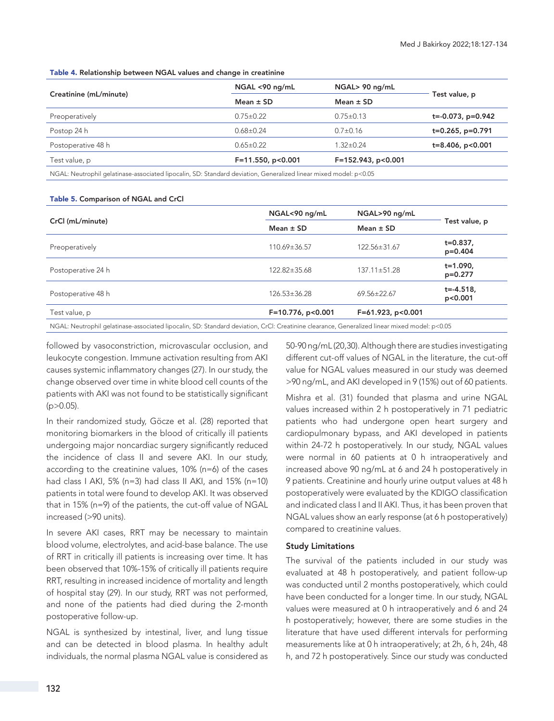Table 4. Relationship between NGAL values and change in creatinine

| Creatinine (mL/minute)                                                                                           | NGAL <90 ng/mL      | NGAL> 90 ng/mL     |                            |
|------------------------------------------------------------------------------------------------------------------|---------------------|--------------------|----------------------------|
|                                                                                                                  | Mean $\pm$ SD       | Mean $\pm$ SD      | Test value, p              |
| Preoperatively                                                                                                   | $0.75 \pm 0.22$     | $0.75 \pm 0.13$    | $t = -0.073$ , $p = 0.942$ |
| Postop 24 h                                                                                                      | $0.68 \pm 0.24$     | $0.7 \pm 0.16$     | $t=0.265$ , p=0.791        |
| Postoperative 48 h                                                                                               | $0.65 \pm 0.22$     | 1.32±0.24          | $t=8.406$ , $p<0.001$      |
| Test value, p                                                                                                    | $F=11.550, p<0.001$ | F=152.943, p<0.001 |                            |
| NGAL: Neutrophil gelatinase-associated lipocalin, SD: Standard deviation, Generalized linear mixed model: p<0.05 |                     |                    |                            |

Table 5. Comparison of NGAL and CrCl

| CrCl (mL/minute)   | NGAL<90 ng/mL                                                                                                                                | NGAL>90 ng/mL        | Test value, p              |
|--------------------|----------------------------------------------------------------------------------------------------------------------------------------------|----------------------|----------------------------|
|                    | Mean $\pm$ SD                                                                                                                                | Mean $\pm$ SD        |                            |
| Preoperatively     | 110.69±36.57                                                                                                                                 | 122.56±31.67         | $t = 0.837$ ,<br>$p=0.404$ |
| Postoperative 24 h | 122.82±35.68                                                                                                                                 | 137.11±51.28         | $t = 1.090$ ,<br>$p=0.277$ |
| Postoperative 48 h | $126.53 \pm 36.28$                                                                                                                           | $69.56 \pm 22.67$    | $t = -4.518.$<br>p<0.001   |
| Test value, p      | $F=10.776$ , p<0.001                                                                                                                         | $F=61.923$ , p<0.001 |                            |
|                    | NGAL: Neutrophil gelatinase-associated lipocalin, SD: Standard deviation, CrCl: Creatinine clearance, Generalized linear mixed model: p<0.05 |                      |                            |

followed by vasoconstriction, microvascular occlusion, and leukocyte congestion. Immune activation resulting from AKI causes systemic inflammatory changes (27). In our study, the change observed over time in white blood cell counts of the patients with AKI was not found to be statistically significant  $(p > 0.05)$ .

In their randomized study, Göcze et al. (28) reported that monitoring biomarkers in the blood of critically ill patients undergoing major noncardiac surgery significantly reduced the incidence of class II and severe AKI. In our study, according to the creatinine values, 10% (n=6) of the cases had class I AKI, 5% (n=3) had class II AKI, and 15% (n=10) patients in total were found to develop AKI. It was observed that in 15% (n=9) of the patients, the cut-off value of NGAL increased (>90 units).

In severe AKI cases, RRT may be necessary to maintain blood volume, electrolytes, and acid-base balance. The use of RRT in critically ill patients is increasing over time. It has been observed that 10%-15% of critically ill patients require RRT, resulting in increased incidence of mortality and length of hospital stay (29). In our study, RRT was not performed, and none of the patients had died during the 2-month postoperative follow-up.

NGAL is synthesized by intestinal, liver, and lung tissue and can be detected in blood plasma. In healthy adult individuals, the normal plasma NGAL value is considered as

50-90 ng/mL (20,30). Although there are studies investigating different cut-off values of NGAL in the literature, the cut-off value for NGAL values measured in our study was deemed >90 ng/mL, and AKI developed in 9 (15%) out of 60 patients.

Mishra et al. (31) founded that plasma and urine NGAL values increased within 2 h postoperatively in 71 pediatric patients who had undergone open heart surgery and cardiopulmonary bypass, and AKI developed in patients within 24-72 h postoperatively. In our study, NGAL values were normal in 60 patients at 0 h intraoperatively and increased above 90 ng/mL at 6 and 24 h postoperatively in 9 patients. Creatinine and hourly urine output values at 48 h postoperatively were evaluated by the KDIGO classification and indicated class I and II AKI. Thus, it has been proven that NGAL values show an early response (at 6 h postoperatively) compared to creatinine values.

## Study Limitations

The survival of the patients included in our study was evaluated at 48 h postoperatively, and patient follow-up was conducted until 2 months postoperatively, which could have been conducted for a longer time. In our study, NGAL values were measured at 0 h intraoperatively and 6 and 24 h postoperatively; however, there are some studies in the literature that have used different intervals for performing measurements like at 0 h intraoperatively; at 2h, 6 h, 24h, 48 h, and 72 h postoperatively. Since our study was conducted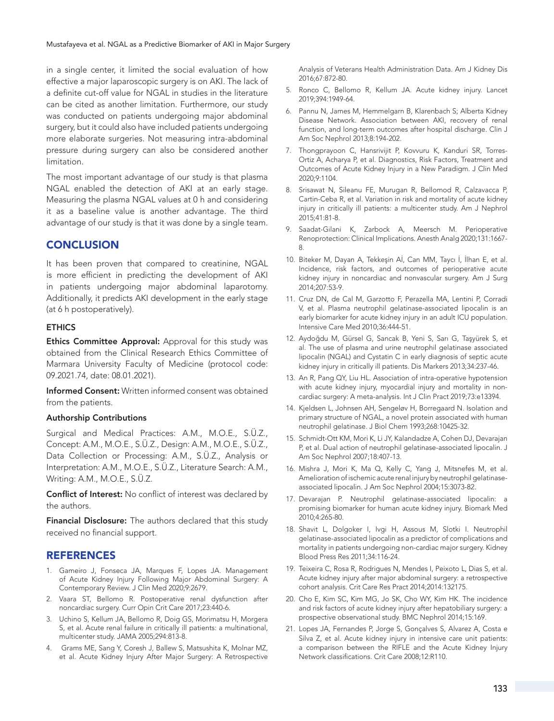in a single center, it limited the social evaluation of how effective a major laparoscopic surgery is on AKI. The lack of a definite cut-off value for NGAL in studies in the literature can be cited as another limitation. Furthermore, our study was conducted on patients undergoing major abdominal surgery, but it could also have included patients undergoing more elaborate surgeries. Not measuring intra-abdominal pressure during surgery can also be considered another limitation.

The most important advantage of our study is that plasma NGAL enabled the detection of AKI at an early stage. Measuring the plasma NGAL values at 0 h and considering it as a baseline value is another advantage. The third advantage of our study is that it was done by a single team.

# **CONCLUSION**

It has been proven that compared to creatinine, NGAL is more efficient in predicting the development of AKI in patients undergoing major abdominal laparotomy. Additionally, it predicts AKI development in the early stage (at 6 h postoperatively).

## **ETHICS**

Ethics Committee Approval: Approval for this study was obtained from the Clinical Research Ethics Committee of Marmara University Faculty of Medicine (protocol code: 09.2021.74, date: 08.01.2021).

Informed Consent: Written informed consent was obtained from the patients.

## Authorship Contributions

Surgical and Medical Practices: A.M., M.O.E., S.Ü.Z., Concept: A.M., M.O.E., S.Ü.Z., Design: A.M., M.O.E., S.Ü.Z., Data Collection or Processing: A.M., S.Ü.Z., Analysis or Interpretation: A.M., M.O.E., S.Ü.Z., Literature Search: A.M., Writing: A.M., M.O.E., S.Ü.Z.

Conflict of Interest: No conflict of interest was declared by the authors.

Financial Disclosure: The authors declared that this study received no financial support.

# **REFERENCES**

- 1. Gameiro J, Fonseca JA, Marques F, Lopes JA. Management of Acute Kidney Injury Following Major Abdominal Surgery: A Contemporary Review. J Clin Med 2020;9:2679.
- 2. Vaara ST, Bellomo R. Postoperative renal dysfunction after noncardiac surgery. Curr Opin Crit Care 2017;23:440-6.
- 3. Uchino S, Kellum JA, Bellomo R, Doig GS, Morimatsu H, Morgera S, et al. Acute renal failure in critically ill patients: a multinational, multicenter study. JAMA 2005;294:813-8.
- 4. Grams ME, Sang Y, Coresh J, Ballew S, Matsushita K, Molnar MZ, et al. Acute Kidney Injury After Major Surgery: A Retrospective

Analysis of Veterans Health Administration Data. Am J Kidney Dis 2016;67:872-80.

- 5. Ronco C, Bellomo R, Kellum JA. Acute kidney injury. Lancet 2019;394:1949-64.
- 6. Pannu N, James M, Hemmelgarn B, Klarenbach S; Alberta Kidney Disease Network. Association between AKI, recovery of renal function, and long-term outcomes after hospital discharge. Clin J Am Soc Nephrol 2013;8:194-202.
- 7. Thongprayoon C, Hansrivijit P, Kovvuru K, Kanduri SR, Torres-Ortiz A, Acharya P, et al. Diagnostics, Risk Factors, Treatment and Outcomes of Acute Kidney Injury in a New Paradigm. J Clin Med 2020;9:1104.
- 8. Srisawat N, Sileanu FE, Murugan R, Bellomod R, Calzavacca P, Cartin-Ceba R, et al. Variation in risk and mortality of acute kidney injury in critically ill patients: a multicenter study. Am J Nephrol 2015;41:81-8.
- 9. Saadat-Gilani K, Zarbock A, Meersch M. Perioperative Renoprotection: Clinical Implications. Anesth Analg 2020;131:1667- 8.
- 10. Biteker M, Dayan A, Tekkeşin Aİ, Can MM, Taycı İ, İlhan E, et al. Incidence, risk factors, and outcomes of perioperative acute kidney injury in noncardiac and nonvascular surgery. Am J Surg 2014;207:53-9.
- 11. Cruz DN, de Cal M, Garzotto F, Perazella MA, Lentini P, Corradi V, et al. Plasma neutrophil gelatinase-associated lipocalin is an early biomarker for acute kidney injury in an adult ICU population. Intensive Care Med 2010;36:444-51.
- 12. Aydoğdu M, Gürsel G, Sancak B, Yeni S, Sarı G, Taşyürek S, et al. The use of plasma and urine neutrophil gelatinase associated lipocalin (NGAL) and Cystatin C in early diagnosis of septic acute kidney injury in critically ill patients. Dis Markers 2013;34:237-46.
- 13. An R, Pang QY, Liu HL. Association of intra-operative hypotension with acute kidney injury, myocardial injury and mortality in noncardiac surgery: A meta-analysis. Int J Clin Pract 2019;73:e13394.
- 14. Kjeldsen L, Johnsen AH, Sengeløv H, Borregaard N. Isolation and primary structure of NGAL, a novel protein associated with human neutrophil gelatinase. J Biol Chem 1993;268:10425-32.
- 15. Schmidt-Ott KM, Mori K, Li JY, Kalandadze A, Cohen DJ, Devarajan P, et al. Dual action of neutrophil gelatinase-associated lipocalin. J Am Soc Nephrol 2007;18:407-13.
- 16. Mishra J, Mori K, Ma Q, Kelly C, Yang J, Mitsnefes M, et al. Amelioration of ischemic acute renal injury by neutrophil gelatinaseassociated lipocalin. J Am Soc Nephrol 2004;15:3073-82.
- 17. Devarajan P. Neutrophil gelatinase-associated lipocalin: a promising biomarker for human acute kidney injury. Biomark Med 2010;4:265-80.
- 18. Shavit L, Dolgoker I, Ivgi H, Assous M, Slotki I. Neutrophil gelatinase-associated lipocalin as a predictor of complications and mortality in patients undergoing non-cardiac major surgery. Kidney Blood Press Res 2011;34:116-24.
- 19. Teixeira C, Rosa R, Rodrigues N, Mendes I, Peixoto L, Dias S, et al. Acute kidney injury after major abdominal surgery: a retrospective cohort analysis. Crit Care Res Pract 2014;2014:132175.
- 20. Cho E, Kim SC, Kim MG, Jo SK, Cho WY, Kim HK. The incidence and risk factors of acute kidney injury after hepatobiliary surgery: a prospective observational study. BMC Nephrol 2014;15:169.
- 21. Lopes JA, Fernandes P, Jorge S, Gonçalves S, Alvarez A, Costa e Silva Z, et al. Acute kidney injury in intensive care unit patients: a comparison between the RIFLE and the Acute Kidney Injury Network classifications. Crit Care 2008;12:R110.